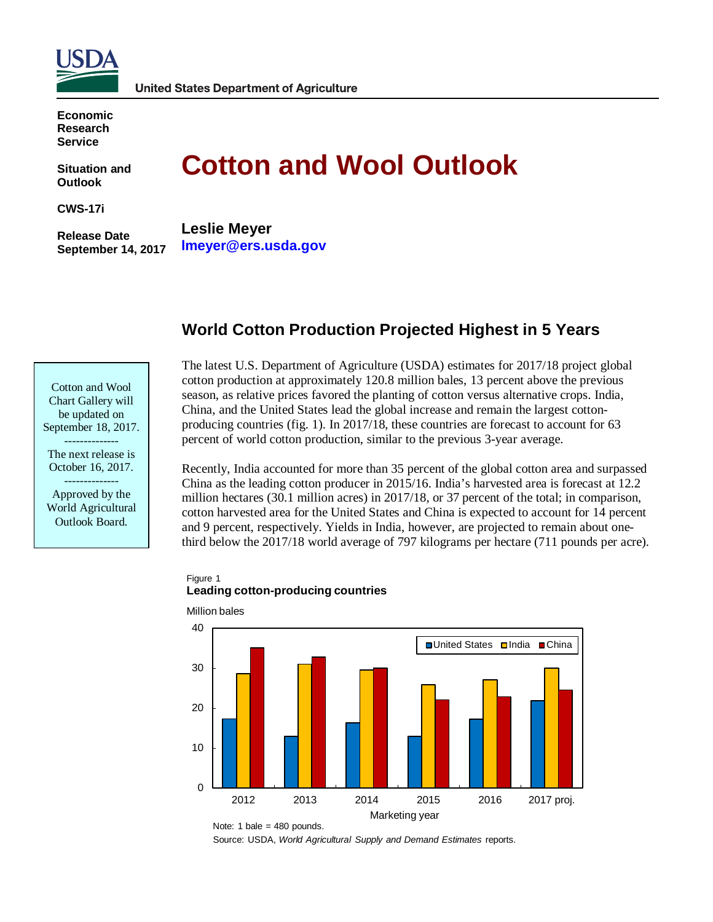

**Economic Research Service**

**Situation and Outlook**

**CWS-17i**

**Release Date September 14, 2017**

# **Cotton and Wool Outlook**

**Leslie Meyer lmeyer@ers.usda.gov**

# **World Cotton Production Projected Highest in 5 Years**

| Cotton and Wool     |
|---------------------|
| Chart Gallery will  |
| be updated on       |
| September 18, 2017. |

-------------- The next release is October 16, 2017.

-------------- Approved by the World Agricultural Outlook Board.

The latest U.S. Department of Agriculture (USDA) estimates for 2017/18 project global cotton production at approximately 120.8 million bales, 13 percent above the previous season, as relative prices favored the planting of cotton versus alternative crops. India, China, and the United States lead the global increase and remain the largest cottonproducing countries (fig. 1). In 2017/18, these countries are forecast to account for 63 percent of world cotton production, similar to the previous 3-year average.

Recently, India accounted for more than 35 percent of the global cotton area and surpassed China as the leading cotton producer in 2015/16. India's harvested area is forecast at 12.2 million hectares (30.1 million acres) in 2017/18, or 37 percent of the total; in comparison, cotton harvested area for the United States and China is expected to account for 14 percent and 9 percent, respectively. Yields in India, however, are projected to remain about onethird below the 2017/18 world average of 797 kilograms per hectare (711 pounds per acre).

#### Figure 1 **Leading cotton-producing countries**



Million bales

Source: USDA, *World Agricultural Supply and Demand Estimates* reports.

Note: 1 bale =  $480$  pounds.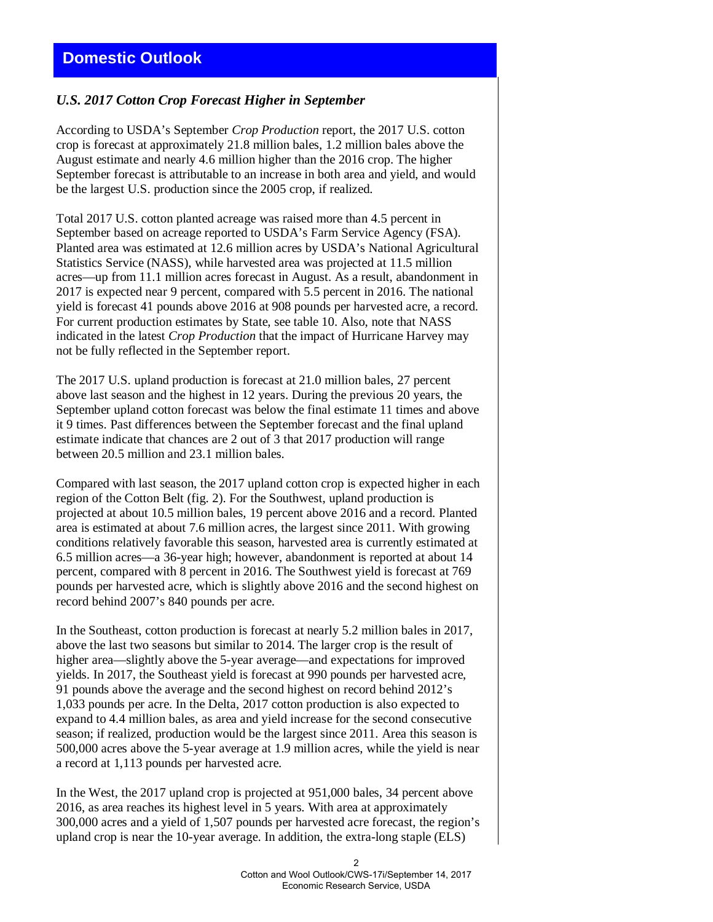# *U.S. 2017 Cotton Crop Forecast Higher in September*

According to USDA's September *Crop Production* report, the 2017 U.S. cotton crop is forecast at approximately 21.8 million bales, 1.2 million bales above the August estimate and nearly 4.6 million higher than the 2016 crop. The higher September forecast is attributable to an increase in both area and yield, and would be the largest U.S. production since the 2005 crop, if realized.

Total 2017 U.S. cotton planted acreage was raised more than 4.5 percent in September based on acreage reported to USDA's Farm Service Agency (FSA). Planted area was estimated at 12.6 million acres by USDA's National Agricultural Statistics Service (NASS), while harvested area was projected at 11.5 million acres—up from 11.1 million acres forecast in August. As a result, abandonment in 2017 is expected near 9 percent, compared with 5.5 percent in 2016. The national yield is forecast 41 pounds above 2016 at 908 pounds per harvested acre, a record. For current production estimates by State, see table 10. Also, note that NASS indicated in the latest *Crop Production* that the impact of Hurricane Harvey may not be fully reflected in the September report.

The 2017 U.S. upland production is forecast at 21.0 million bales, 27 percent above last season and the highest in 12 years. During the previous 20 years, the September upland cotton forecast was below the final estimate 11 times and above it 9 times. Past differences between the September forecast and the final upland estimate indicate that chances are 2 out of 3 that 2017 production will range between 20.5 million and 23.1 million bales.

Compared with last season, the 2017 upland cotton crop is expected higher in each region of the Cotton Belt (fig. 2). For the Southwest, upland production is projected at about 10.5 million bales, 19 percent above 2016 and a record. Planted area is estimated at about 7.6 million acres, the largest since 2011. With growing conditions relatively favorable this season, harvested area is currently estimated at 6.5 million acres—a 36-year high; however, abandonment is reported at about 14 percent, compared with 8 percent in 2016. The Southwest yield is forecast at 769 pounds per harvested acre, which is slightly above 2016 and the second highest on record behind 2007's 840 pounds per acre.

In the Southeast, cotton production is forecast at nearly 5.2 million bales in 2017, above the last two seasons but similar to 2014. The larger crop is the result of higher area—slightly above the 5-year average—and expectations for improved yields. In 2017, the Southeast yield is forecast at 990 pounds per harvested acre, 91 pounds above the average and the second highest on record behind 2012's 1,033 pounds per acre. In the Delta, 2017 cotton production is also expected to expand to 4.4 million bales, as area and yield increase for the second consecutive season; if realized, production would be the largest since 2011. Area this season is 500,000 acres above the 5-year average at 1.9 million acres, while the yield is near a record at 1,113 pounds per harvested acre.

In the West, the 2017 upland crop is projected at 951,000 bales, 34 percent above 2016, as area reaches its highest level in 5 years. With area at approximately 300,000 acres and a yield of 1,507 pounds per harvested acre forecast, the region's upland crop is near the 10-year average. In addition, the extra-long staple (ELS)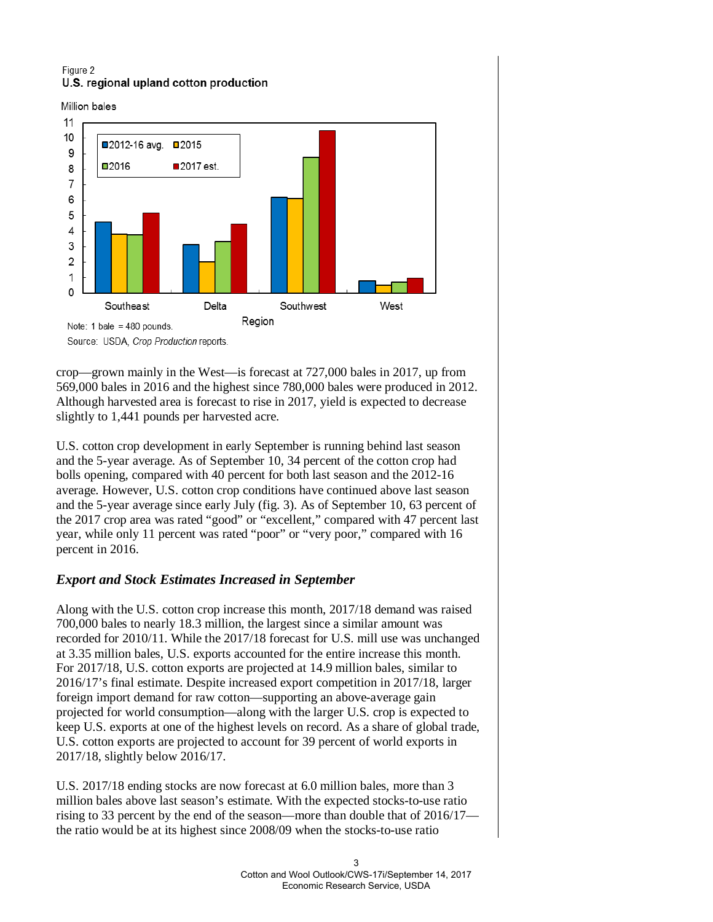#### Figure 2 U.S. regional upland cotton production

Million bales



Source: USDA, Crop Production reports.

crop—grown mainly in the West—is forecast at 727,000 bales in 2017, up from 569,000 bales in 2016 and the highest since 780,000 bales were produced in 2012. Although harvested area is forecast to rise in 2017, yield is expected to decrease slightly to 1,441 pounds per harvested acre.

U.S. cotton crop development in early September is running behind last season and the 5-year average. As of September 10, 34 percent of the cotton crop had bolls opening, compared with 40 percent for both last season and the 2012-16 average. However, U.S. cotton crop conditions have continued above last season and the 5-year average since early July (fig. 3). As of September 10, 63 percent of the 2017 crop area was rated "good" or "excellent," compared with 47 percent last year, while only 11 percent was rated "poor" or "very poor," compared with 16 percent in 2016.

# *Export and Stock Estimates Increased in September*

Along with the U.S. cotton crop increase this month, 2017/18 demand was raised 700,000 bales to nearly 18.3 million, the largest since a similar amount was recorded for 2010/11. While the 2017/18 forecast for U.S. mill use was unchanged at 3.35 million bales, U.S. exports accounted for the entire increase this month. For 2017/18, U.S. cotton exports are projected at 14.9 million bales, similar to 2016/17's final estimate. Despite increased export competition in 2017/18, larger foreign import demand for raw cotton—supporting an above-average gain projected for world consumption—along with the larger U.S. crop is expected to keep U.S. exports at one of the highest levels on record. As a share of global trade, U.S. cotton exports are projected to account for 39 percent of world exports in 2017/18, slightly below 2016/17.

U.S. 2017/18 ending stocks are now forecast at 6.0 million bales, more than 3 million bales above last season's estimate. With the expected stocks-to-use ratio rising to 33 percent by the end of the season—more than double that of 2016/17 the ratio would be at its highest since 2008/09 when the stocks-to-use ratio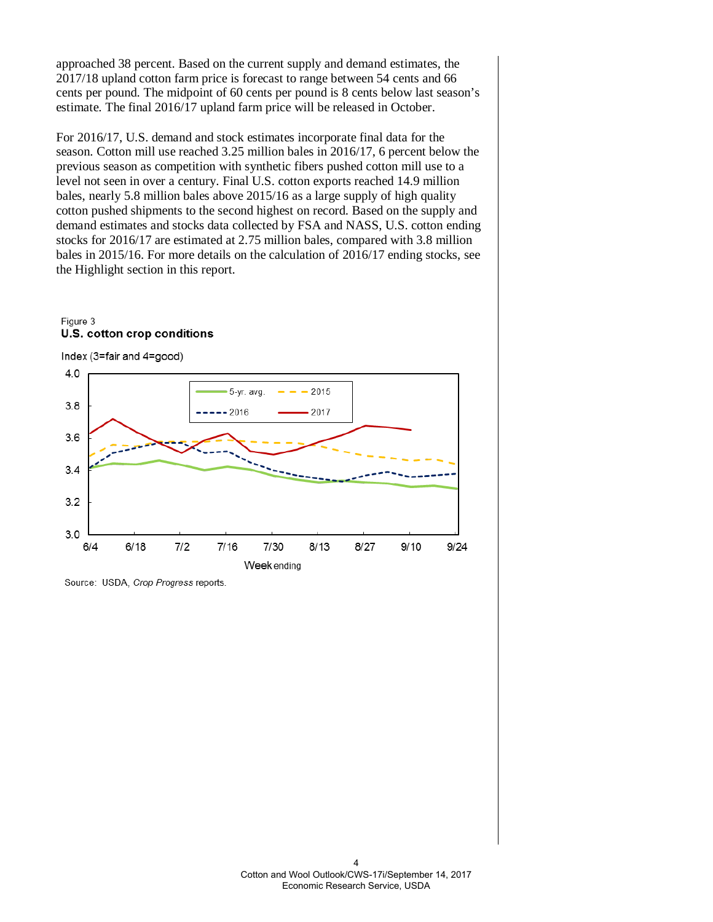approached 38 percent. Based on the current supply and demand estimates, the 2017/18 upland cotton farm price is forecast to range between 54 cents and 66 cents per pound. The midpoint of 60 cents per pound is 8 cents below last season's estimate. The final 2016/17 upland farm price will be released in October.

For 2016/17, U.S. demand and stock estimates incorporate final data for the season. Cotton mill use reached 3.25 million bales in 2016/17, 6 percent below the previous season as competition with synthetic fibers pushed cotton mill use to a level not seen in over a century. Final U.S. cotton exports reached 14.9 million bales, nearly 5.8 million bales above 2015/16 as a large supply of high quality cotton pushed shipments to the second highest on record. Based on the supply and demand estimates and stocks data collected by FSA and NASS, U.S. cotton ending stocks for 2016/17 are estimated at 2.75 million bales, compared with 3.8 million bales in 2015/16. For more details on the calculation of 2016/17 ending stocks, see the Highlight section in this report.







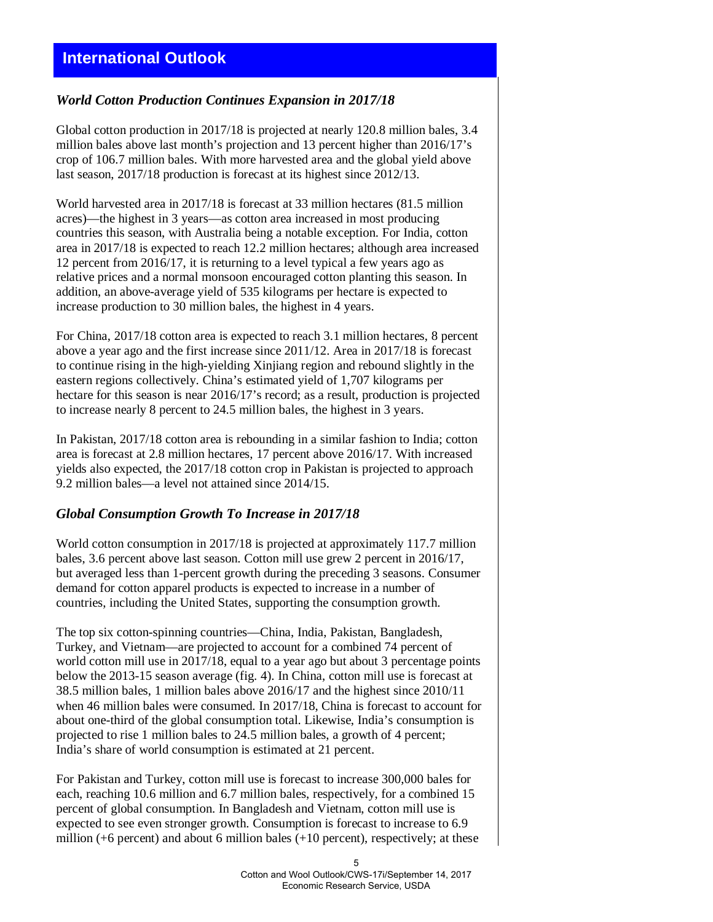# *World Cotton Production Continues Expansion in 2017/18*

Global cotton production in 2017/18 is projected at nearly 120.8 million bales, 3.4 million bales above last month's projection and 13 percent higher than 2016/17's crop of 106.7 million bales. With more harvested area and the global yield above last season, 2017/18 production is forecast at its highest since 2012/13.

World harvested area in 2017/18 is forecast at 33 million hectares (81.5 million acres)—the highest in 3 years—as cotton area increased in most producing countries this season, with Australia being a notable exception. For India, cotton area in 2017/18 is expected to reach 12.2 million hectares; although area increased 12 percent from 2016/17, it is returning to a level typical a few years ago as relative prices and a normal monsoon encouraged cotton planting this season. In addition, an above-average yield of 535 kilograms per hectare is expected to increase production to 30 million bales, the highest in 4 years.

For China, 2017/18 cotton area is expected to reach 3.1 million hectares, 8 percent above a year ago and the first increase since 2011/12. Area in 2017/18 is forecast to continue rising in the high-yielding Xinjiang region and rebound slightly in the eastern regions collectively. China's estimated yield of 1,707 kilograms per hectare for this season is near 2016/17's record; as a result, production is projected to increase nearly 8 percent to 24.5 million bales, the highest in 3 years.

In Pakistan, 2017/18 cotton area is rebounding in a similar fashion to India; cotton area is forecast at 2.8 million hectares, 17 percent above 2016/17. With increased yields also expected, the 2017/18 cotton crop in Pakistan is projected to approach 9.2 million bales—a level not attained since 2014/15.

### *Global Consumption Growth To Increase in 2017/18*

World cotton consumption in 2017/18 is projected at approximately 117.7 million bales, 3.6 percent above last season. Cotton mill use grew 2 percent in 2016/17, but averaged less than 1-percent growth during the preceding 3 seasons. Consumer demand for cotton apparel products is expected to increase in a number of countries, including the United States, supporting the consumption growth.

The top six cotton-spinning countries—China, India, Pakistan, Bangladesh, Turkey, and Vietnam—are projected to account for a combined 74 percent of world cotton mill use in 2017/18, equal to a year ago but about 3 percentage points below the 2013-15 season average (fig. 4). In China, cotton mill use is forecast at 38.5 million bales, 1 million bales above 2016/17 and the highest since 2010/11 when 46 million bales were consumed. In 2017/18, China is forecast to account for about one-third of the global consumption total. Likewise, India's consumption is projected to rise 1 million bales to 24.5 million bales, a growth of 4 percent; India's share of world consumption is estimated at 21 percent.

For Pakistan and Turkey, cotton mill use is forecast to increase 300,000 bales for each, reaching 10.6 million and 6.7 million bales, respectively, for a combined 15 percent of global consumption. In Bangladesh and Vietnam, cotton mill use is expected to see even stronger growth. Consumption is forecast to increase to 6.9 million (+6 percent) and about 6 million bales (+10 percent), respectively; at these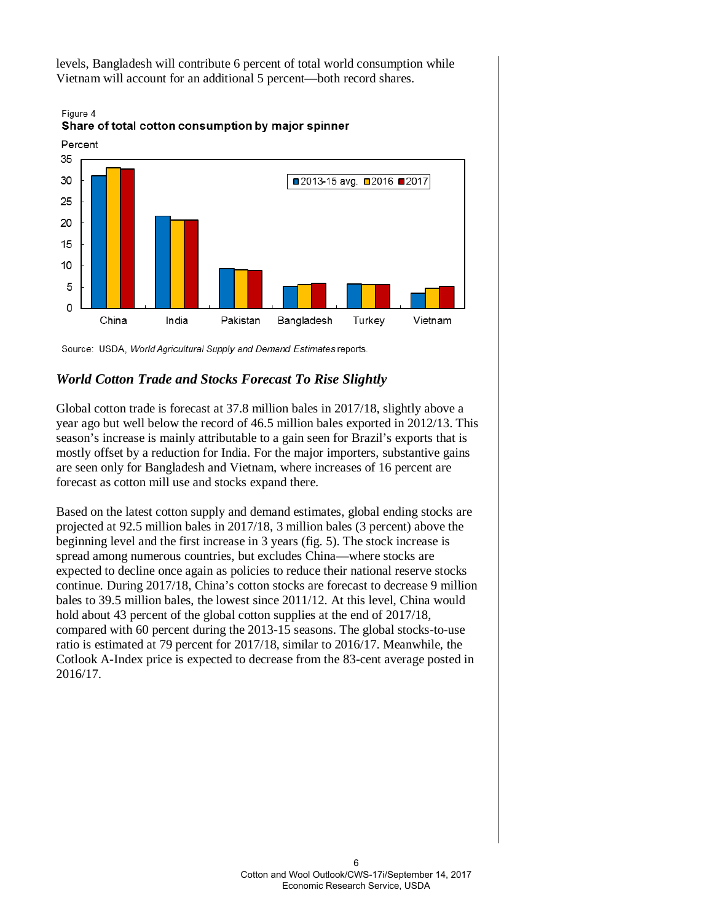levels, Bangladesh will contribute 6 percent of total world consumption while Vietnam will account for an additional 5 percent—both record shares.



Figure 4 Share of total cotton consumption by major spinner

Source: USDA, World Agricultural Supply and Demand Estimates reports.

# *World Cotton Trade and Stocks Forecast To Rise Slightly*

Global cotton trade is forecast at 37.8 million bales in 2017/18, slightly above a year ago but well below the record of 46.5 million bales exported in 2012/13. This season's increase is mainly attributable to a gain seen for Brazil's exports that is mostly offset by a reduction for India. For the major importers, substantive gains are seen only for Bangladesh and Vietnam, where increases of 16 percent are forecast as cotton mill use and stocks expand there.

Based on the latest cotton supply and demand estimates, global ending stocks are projected at 92.5 million bales in 2017/18, 3 million bales (3 percent) above the beginning level and the first increase in 3 years (fig. 5). The stock increase is spread among numerous countries, but excludes China—where stocks are expected to decline once again as policies to reduce their national reserve stocks continue. During 2017/18, China's cotton stocks are forecast to decrease 9 million bales to 39.5 million bales, the lowest since 2011/12. At this level, China would hold about 43 percent of the global cotton supplies at the end of 2017/18, compared with 60 percent during the 2013-15 seasons. The global stocks-to-use ratio is estimated at 79 percent for 2017/18, similar to 2016/17. Meanwhile, the Cotlook A-Index price is expected to decrease from the 83-cent average posted in 2016/17.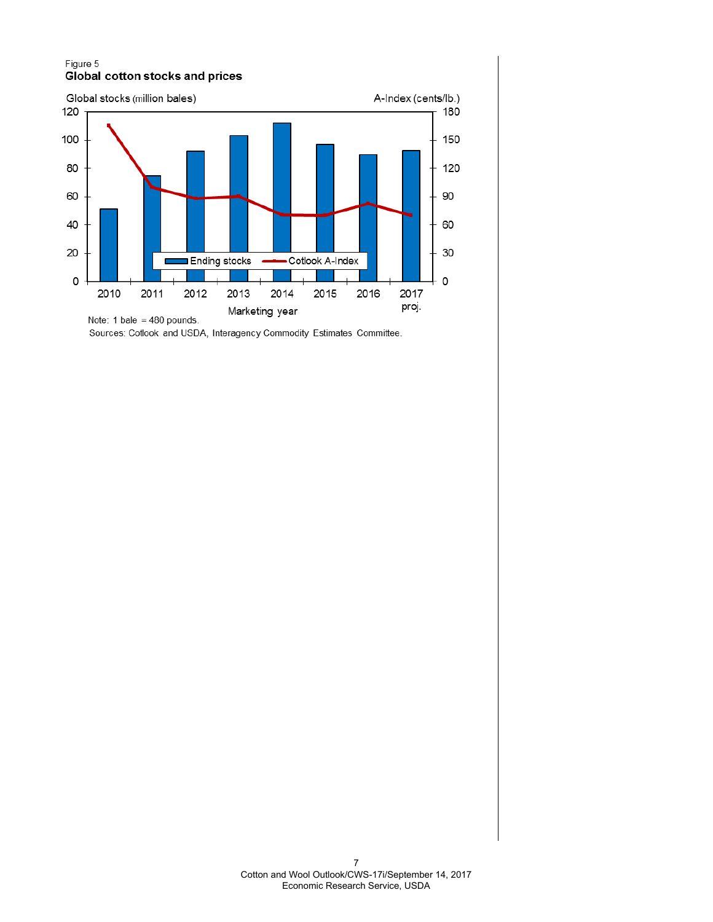#### Figure 5 **Global cotton stocks and prices**



Sources: Cotlook and USDA, Interagency Commodity Estimates Committee.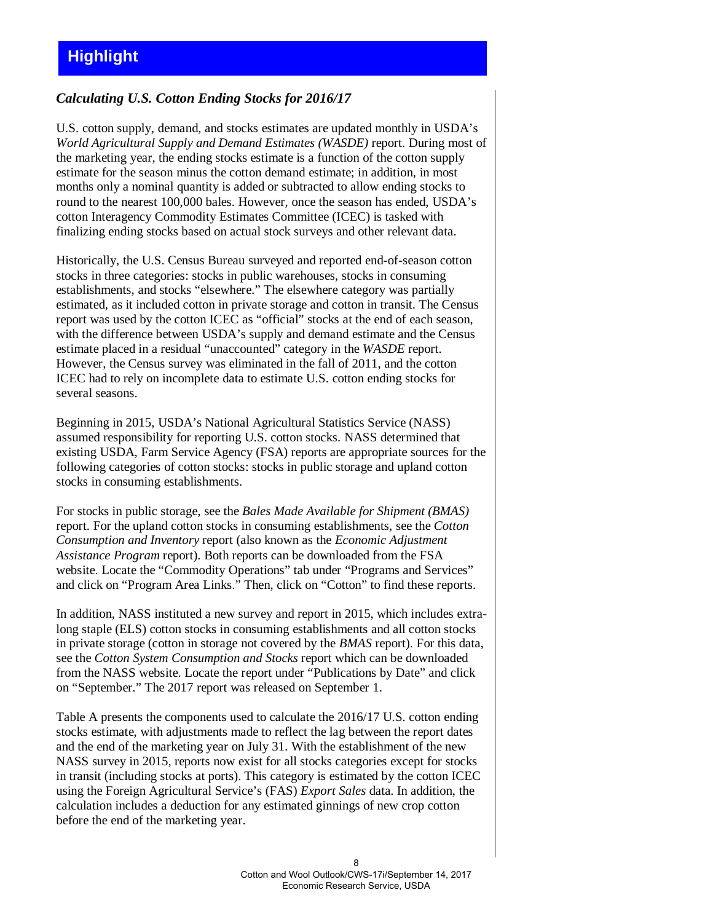# *Calculating U.S. Cotton Ending Stocks for 2016/17*

U.S. cotton supply, demand, and stocks estimates are updated monthly in USDA's *World Agricultural Supply and Demand Estimates (WASDE)* report. During most of the marketing year, the ending stocks estimate is a function of the cotton supply estimate for the season minus the cotton demand estimate; in addition, in most months only a nominal quantity is added or subtracted to allow ending stocks to round to the nearest 100,000 bales. However, once the season has ended, USDA's cotton Interagency Commodity Estimates Committee (ICEC) is tasked with finalizing ending stocks based on actual stock surveys and other relevant data.

Historically, the U.S. Census Bureau surveyed and reported end-of-season cotton stocks in three categories: stocks in public warehouses, stocks in consuming establishments, and stocks "elsewhere." The elsewhere category was partially estimated, as it included cotton in private storage and cotton in transit. The Census report was used by the cotton ICEC as "official" stocks at the end of each season, with the difference between USDA's supply and demand estimate and the Census estimate placed in a residual "unaccounted" category in the *WASDE* report. However, the Census survey was eliminated in the fall of 2011, and the cotton ICEC had to rely on incomplete data to estimate U.S. cotton ending stocks for several seasons.

Beginning in 2015, USDA's National Agricultural Statistics Service (NASS) assumed responsibility for reporting U.S. cotton stocks. NASS determined that existing USDA, Farm Service Agency (FSA) reports are appropriate sources for the following categories of cotton stocks: stocks in public storage and upland cotton stocks in consuming establishments.

For stocks in public storage, see the *Bales Made Available for Shipment (BMAS)* report. For the upland cotton stocks in consuming establishments, see the *Cotton Consumption and Inventory* report (also known as the *Economic Adjustment Assistance Program* report). Both reports can be downloaded from the FSA website. Locate the "Commodity Operations" tab under "Programs and Services" and click on "Program Area Links." Then, click on "Cotton" to find these reports.

In addition, NASS instituted a new survey and report in 2015, which includes extralong staple (ELS) cotton stocks in consuming establishments and all cotton stocks in private storage (cotton in storage not covered by the *BMAS* report). For this data, see the *Cotton System Consumption and Stocks* report which can be downloaded from the NASS website. Locate the report under "Publications by Date" and click on "September." The 2017 report was released on September 1.

Table A presents the components used to calculate the 2016/17 U.S. cotton ending stocks estimate, with adjustments made to reflect the lag between the report dates and the end of the marketing year on July 31. With the establishment of the new NASS survey in 2015, reports now exist for all stocks categories except for stocks in transit (including stocks at ports). This category is estimated by the cotton ICEC using the Foreign Agricultural Service's (FAS) *Export Sales* data. In addition, the calculation includes a deduction for any estimated ginnings of new crop cotton before the end of the marketing year.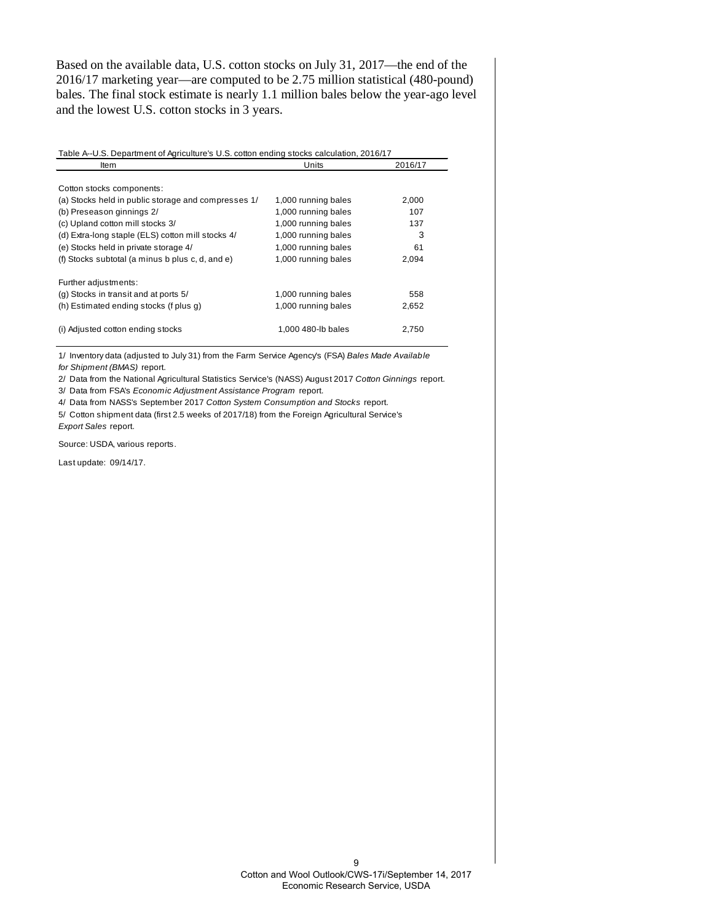Based on the available data, U.S. cotton stocks on July 31, 2017—the end of the 2016/17 marketing year—are computed to be 2.75 million statistical (480-pound) bales. The final stock estimate is nearly 1.1 million bales below the year-ago level and the lowest U.S. cotton stocks in 3 years.

| Table A--U.S. Department of Agriculture's U.S. cotton ending stocks calculation, 2016/17 |                     |         |  |  |  |
|------------------------------------------------------------------------------------------|---------------------|---------|--|--|--|
| Item                                                                                     | Units               | 2016/17 |  |  |  |
|                                                                                          |                     |         |  |  |  |
| Cotton stocks components:                                                                |                     |         |  |  |  |
| (a) Stocks held in public storage and compresses 1/                                      | 1,000 running bales | 2,000   |  |  |  |
| (b) Preseason ginnings 2/                                                                | 1,000 running bales | 107     |  |  |  |
| (c) Upland cotton mill stocks 3/                                                         | 1,000 running bales | 137     |  |  |  |
| (d) Extra-long staple (ELS) cotton mill stocks 4/                                        | 1,000 running bales | 3       |  |  |  |
| (e) Stocks held in private storage 4/                                                    | 1,000 running bales | 61      |  |  |  |
| (f) Stocks subtotal (a minus b plus c, d, and e)                                         | 1,000 running bales | 2,094   |  |  |  |
| Further adjustments:                                                                     |                     |         |  |  |  |
| (g) Stocks in transit and at ports 5/                                                    | 1,000 running bales | 558     |  |  |  |
| (h) Estimated ending stocks (f plus q)                                                   | 1,000 running bales | 2,652   |  |  |  |
| (i) Adjusted cotton ending stocks                                                        | 1.000 480-lb bales  | 2,750   |  |  |  |

1/ Inventory data (adjusted to July 31) from the Farm Service Agency's (FSA) *Bales Made Available for Shipment (BMAS)* report.

2/ Data from the National Agricultural Statistics Service's (NASS) August 2017 *Cotton Ginnings* report. 3/ Data from FSA's *Economic Adjustment Assistance Program* report.

4/ Data from NASS's September 2017 *Cotton System Consumption and Stocks* report.

5/ Cotton shipment data (first 2.5 weeks of 2017/18) from the Foreign Agricultural Service's

*Export Sales* report.

Source: USDA, various reports.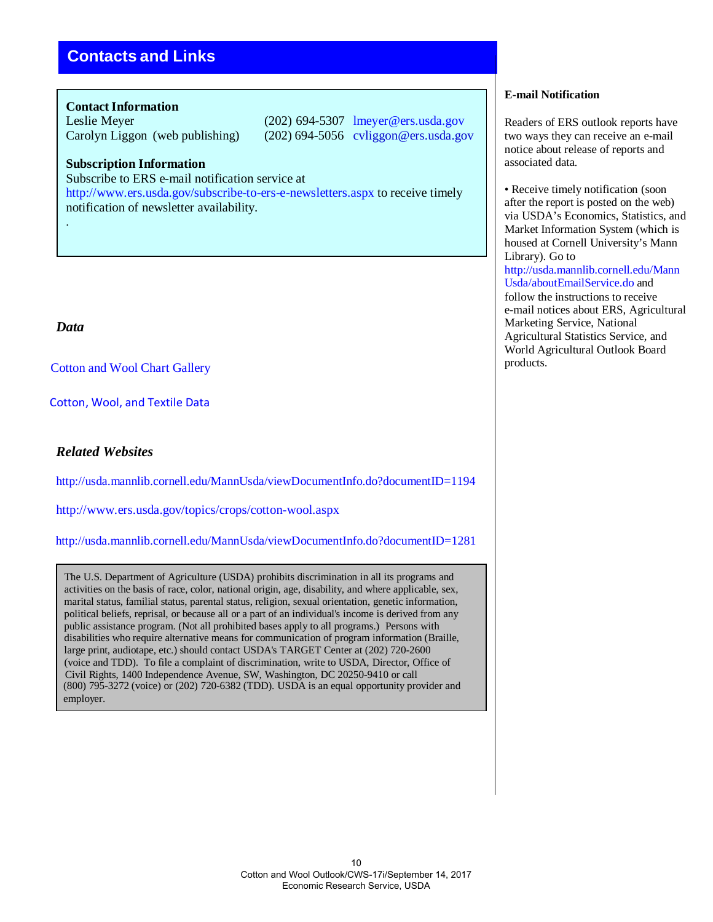# **Contacts and Links**

#### **Contact Information**

Leslie Meyer (202) 694-5307 lmeyer@ers.usda.gov Carolyn Liggon (web publishing) (202) 694-5056 cvliggon@ers.usda.gov

#### **Subscription Information**

Subscribe to ERS e-mail notification service at

[http://www.ers.usda.gov/subscribe-to-ers-e-newsletters.aspx t](http://www.ers.usda.gov/subscribe-to-ers-e-newsletters.aspx)o receive timely notification of newsletter availability.

# *Data*

.

[Cotton and Wool](https://www.ers.usda.gov/data-products/cotton-and-wool-chart-gallery/) Chart Gallery

 [Cotton, Wool, and Textile Data](https://www.ers.usda.gov/data-products/cotton-wool-and-textile-data/)

# *Related Websites*

<http://usda.mannlib.cornell.edu/MannUsda/viewDocumentInfo.do?documentID=1194>

<http://www.ers.usda.gov/topics/crops/cotton-wool.aspx>

<http://usda.mannlib.cornell.edu/MannUsda/viewDocumentInfo.do?documentID=1281>

The U.S. Department of Agriculture (USDA) prohibits discrimination in all its programs and activities on the basis of race, color, national origin, age, disability, and where applicable, sex, marital status, familial status, parental status, religion, sexual orientation, genetic information, political beliefs, reprisal, or because all or a part of an individual's income is derived from any public assistance program. (Not all prohibited bases apply to all programs.) Persons with disabilities who require alternative means for communication of program information (Braille, large print, audiotape, etc.) should contact USDA's TARGET Center at (202) 720-2600 (voice and TDD). To file a complaint of discrimination, write to USDA, Director, Office of Civil Rights, 1400 Independence Avenue, SW, Washington, DC 20250-9410 or call (800) 795-3272 (voice) or (202) 720-6382 (TDD). USDA is an equal opportunity provider and employer.

#### **E-mail Notification**

Readers of ERS outlook reports have two ways they can receive an e-mail notice about release of reports and associated data.

• Receive timely notification (soon) after the report is posted on the web) via USDA's Economics, Statistics, and Market Information System (which is housed at Cornell University's Mann Library). Go to [http://usda.mannlib.cornell.edu/Mann](http://usda.mannlib.cornell.edu/MannUsda/aboutEmailService.do) [Usda/aboutEmailService.do a](http://usda.mannlib.cornell.edu/MannUsda/aboutEmailService.do)nd follow the instructions to receive e-mail notices about ERS, Agricultural Marketing Service, National Agricultural Statistics Service, and World Agricultural Outlook Board products.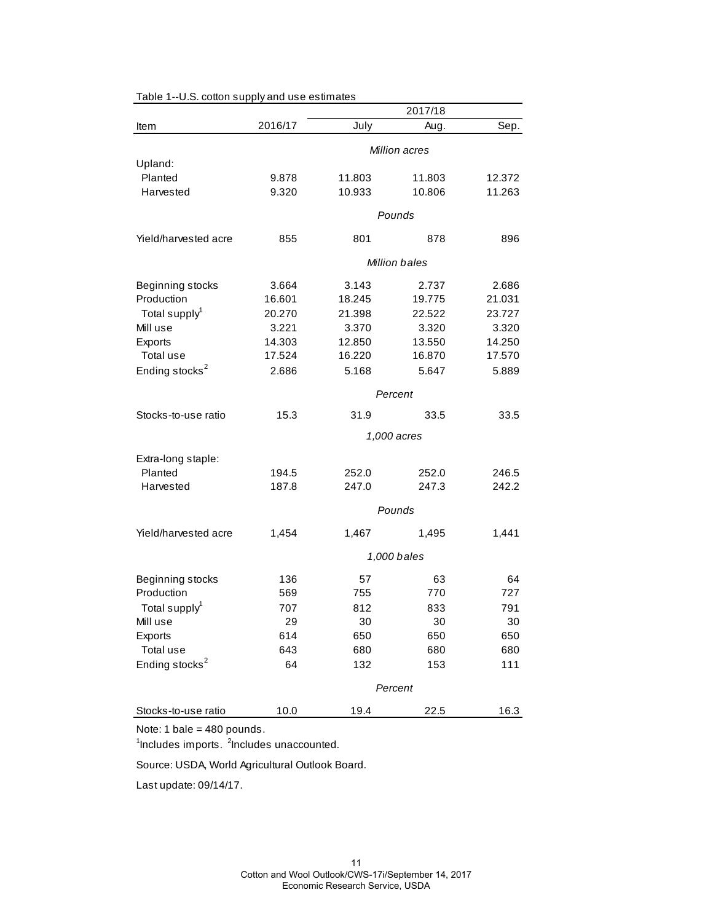|                            |         |        | 2017/18              |        |
|----------------------------|---------|--------|----------------------|--------|
| Item                       | 2016/17 | July   | Aug.                 | Sep.   |
|                            |         |        | Million acres        |        |
| Upland:                    |         |        |                      |        |
| Planted                    | 9.878   | 11.803 | 11.803               | 12.372 |
| Harvested                  | 9.320   | 10.933 | 10.806               | 11.263 |
|                            |         |        | Pounds               |        |
| Yield/harvested acre       | 855     | 801    | 878                  | 896    |
|                            |         |        | <b>Million bales</b> |        |
|                            |         |        |                      |        |
| Beginning stocks           | 3.664   | 3.143  | 2.737                | 2.686  |
| Production                 | 16.601  | 18.245 | 19.775               | 21.031 |
| Total supply <sup>1</sup>  | 20.270  | 21.398 | 22.522               | 23.727 |
| Mill use                   | 3.221   | 3.370  | 3.320                | 3.320  |
| Exports                    | 14.303  | 12.850 | 13.550               | 14.250 |
| Total use                  | 17.524  | 16.220 | 16.870               | 17.570 |
| Ending stocks <sup>2</sup> | 2.686   | 5.168  | 5.647                | 5.889  |
|                            |         |        | Percent              |        |
| Stocks-to-use ratio        | 15.3    | 31.9   | 33.5                 | 33.5   |
|                            |         |        | 1,000 acres          |        |
| Extra-long staple:         |         |        |                      |        |
| Planted                    | 194.5   | 252.0  | 252.0                | 246.5  |
| Harvested                  | 187.8   | 247.0  | 247.3                | 242.2  |
|                            |         |        | Pounds               |        |
| Yield/harvested acre       | 1,454   | 1,467  | 1,495                | 1,441  |
|                            |         |        | 1,000 bales          |        |
|                            |         |        |                      |        |
| Beginning stocks           | 136     | 57     | 63                   | 64     |
| Production                 | 569     | 755    | 770                  | 727    |
| Total supply <sup>1</sup>  | 707     | 812    | 833                  | 791    |
| Mill use                   | 29      | 30     | 30                   | 30     |
| Exports                    | 614     | 650    | 650                  | 650    |
| Total use                  | 643     | 680    | 680                  | 680    |
| Ending stocks <sup>2</sup> | 64      | 132    | 153                  | 111    |
|                            |         |        | Percent              |        |
| Stocks-to-use ratio        | 10.0    | 19.4   | 22.5                 | 16.3   |

Table 1--U.S. cotton supply and use estimates

Note: 1 bale = 480 pounds.

<sup>1</sup>Includes imports. <sup>2</sup>Includes unaccounted.

Source: USDA, World Agricultural Outlook Board.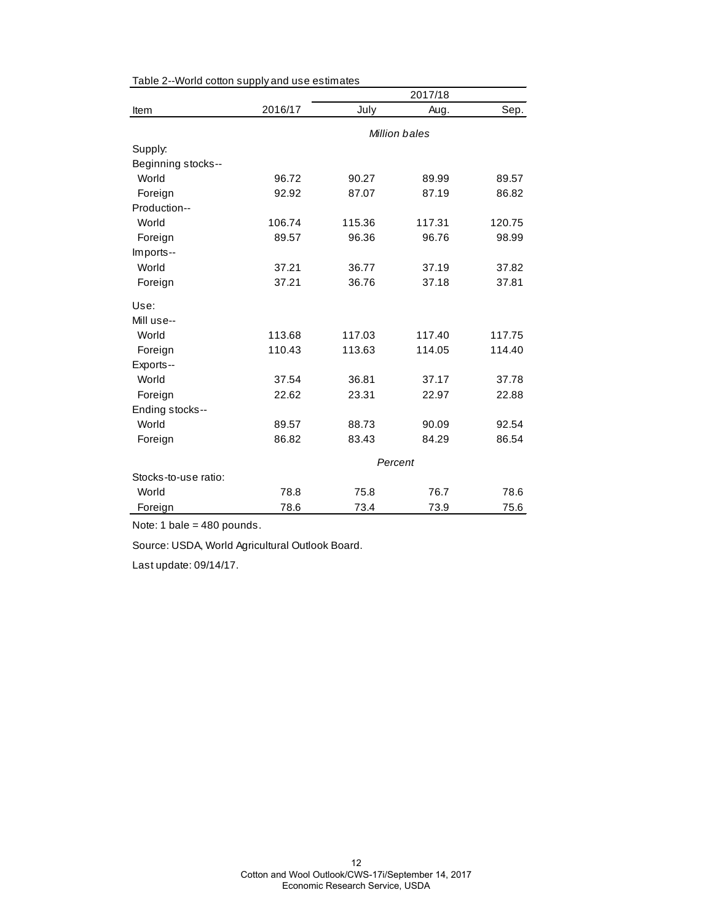|                      |         |        | 2017/18       |        |
|----------------------|---------|--------|---------------|--------|
| Item                 | 2016/17 | July   | Aug.          | Sep.   |
|                      |         |        | Million bales |        |
| Supply:              |         |        |               |        |
| Beginning stocks--   |         |        |               |        |
| World                | 96.72   | 90.27  | 89.99         | 89.57  |
| Foreign              | 92.92   | 87.07  | 87.19         | 86.82  |
| Production--         |         |        |               |        |
| World                | 106.74  | 115.36 | 117.31        | 120.75 |
| Foreign              | 89.57   | 96.36  | 96.76         | 98.99  |
| Imports--            |         |        |               |        |
| World                | 37.21   | 36.77  | 37.19         | 37.82  |
| Foreign              | 37.21   | 36.76  | 37.18         | 37.81  |
| Use:                 |         |        |               |        |
| Mill use--           |         |        |               |        |
| World                | 113.68  | 117.03 | 117.40        | 117.75 |
| Foreign              | 110.43  | 113.63 | 114.05        | 114.40 |
| Exports--            |         |        |               |        |
| World                | 37.54   | 36.81  | 37.17         | 37.78  |
| Foreign              | 22.62   | 23.31  | 22.97         | 22.88  |
| Ending stocks--      |         |        |               |        |
| World                | 89.57   | 88.73  | 90.09         | 92.54  |
| Foreign              | 86.82   | 83.43  | 84.29         | 86.54  |
|                      | Percent |        |               |        |
| Stocks-to-use ratio: |         |        |               |        |
| World                | 78.8    | 75.8   | 76.7          | 78.6   |
| Foreign              | 78.6    | 73.4   | 73.9          | 75.6   |

Table 2--World cotton supply and use estimates

Note: 1 bale = 480 pounds.

Source: USDA, World Agricultural Outlook Board.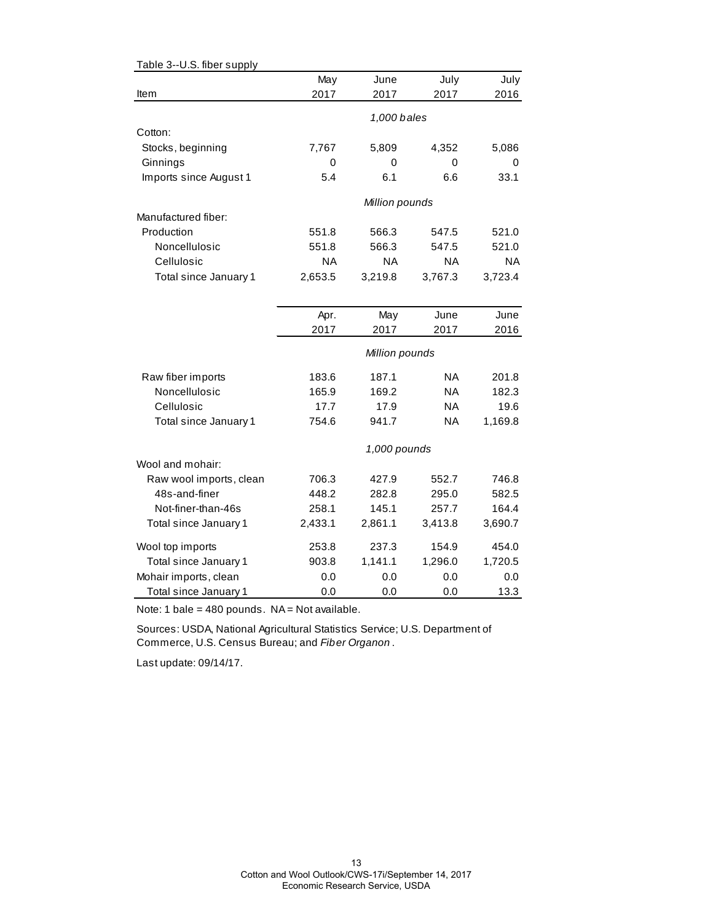| Table 3--U.S. fiber supply |         |                |           |           |
|----------------------------|---------|----------------|-----------|-----------|
|                            | May     | June           | July      | July      |
| Item                       | 2017    | 2017           | 2017      | 2016      |
|                            |         |                |           |           |
|                            |         | 1,000 bales    |           |           |
| Cotton:                    |         |                |           |           |
| Stocks, beginning          | 7,767   | 5,809          | 4,352     | 5,086     |
| Ginnings                   | 0       | 0              | 0         | 0         |
| Imports since August 1     | 5.4     | 6.1            | 6.6       | 33.1      |
|                            |         | Million pounds |           |           |
| Manufactured fiber:        |         |                |           |           |
| Production                 | 551.8   | 566.3          | 547.5     | 521.0     |
| Noncellulosic              | 551.8   | 566.3          | 547.5     | 521.0     |
| Cellulosic                 | NA      | <b>NA</b>      | <b>NA</b> | <b>NA</b> |
| Total since January 1      | 2,653.5 | 3,219.8        | 3,767.3   | 3,723.4   |
|                            |         |                |           |           |
|                            |         |                |           |           |
|                            | Apr.    | May            | June      | June      |
|                            | 2017    | 2017           | 2017      | 2016      |
|                            |         | Million pounds |           |           |
| Raw fiber imports          | 183.6   | 187.1          | ΝA        | 201.8     |
| Noncellulosic              | 165.9   | 169.2          | ΝA        | 182.3     |
| Cellulosic                 | 17.7    | 17.9           | ΝA        | 19.6      |
| Total since January 1      | 754.6   | 941.7          | ΝA        | 1,169.8   |
|                            |         | 1,000 pounds   |           |           |
| Wool and mohair:           |         |                |           |           |
| Raw wool imports, clean    | 706.3   | 427.9          | 552.7     | 746.8     |
| 48s-and-finer              | 448.2   | 282.8          | 295.0     | 582.5     |
| Not-finer-than-46s         | 258.1   | 145.1          | 257.7     | 164.4     |
| Total since January 1      | 2,433.1 | 2,861.1        | 3,413.8   | 3,690.7   |
| Wool top imports           | 253.8   | 237.3          | 154.9     | 454.0     |
| Total since January 1      | 903.8   | 1,141.1        | 1,296.0   | 1,720.5   |
| Mohair imports, clean      | 0.0     | 0.0            | 0.0       | 0.0       |
| Total since January 1      | 0.0     | 0.0            | 0.0       | 13.3      |

Note: 1 bale =  $480$  pounds. NA = Not available.

Sources: USDA, National Agricultural Statistics Service; U.S. Department of Commerce, U.S. Census Bureau; and *Fiber Organon* .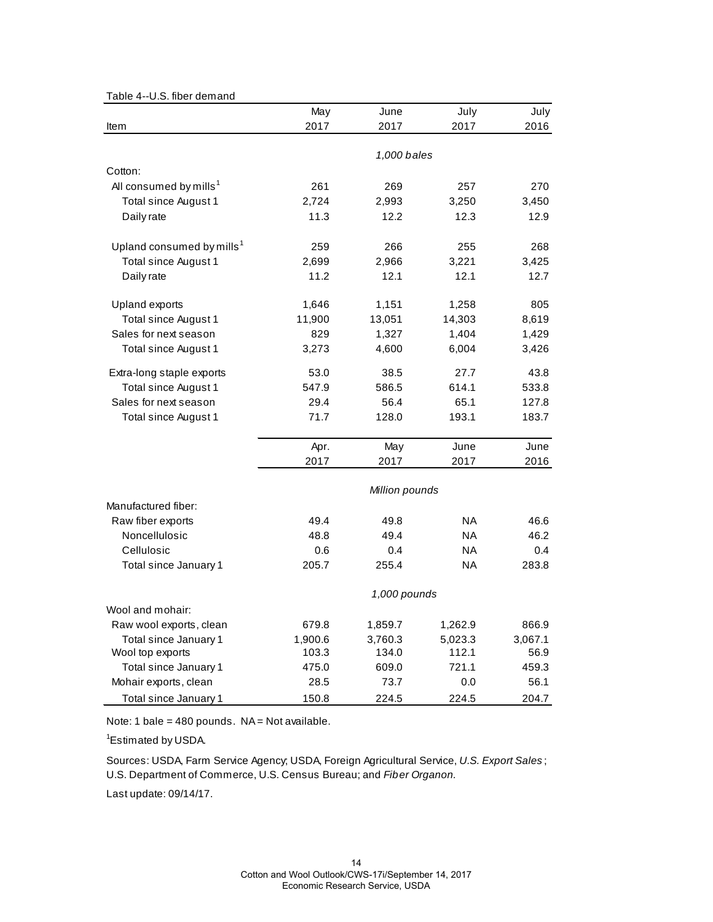|  | Table 4--U.S. fiber demand |
|--|----------------------------|
|--|----------------------------|

|                                       | May         | June           | July      | July    |
|---------------------------------------|-------------|----------------|-----------|---------|
| Item                                  | 2017        | 2017           | 2017      | 2016    |
|                                       |             |                |           |         |
|                                       | 1,000 bales |                |           |         |
| Cotton:                               |             |                |           |         |
| All consumed by mills <sup>1</sup>    | 261         | 269            | 257       | 270     |
| Total since August 1                  | 2,724       | 2,993          | 3,250     | 3,450   |
| Daily rate                            | 11.3        | 12.2           | 12.3      | 12.9    |
| Upland consumed by mills <sup>1</sup> | 259         | 266            | 255       | 268     |
| Total since August 1                  | 2,699       | 2,966          | 3,221     | 3,425   |
| Daily rate                            | 11.2        | 12.1           | 12.1      | 12.7    |
| <b>Upland exports</b>                 | 1,646       | 1,151          | 1,258     | 805     |
| Total since August 1                  | 11,900      | 13,051         | 14,303    | 8,619   |
| Sales for next season                 | 829         | 1,327          | 1,404     | 1,429   |
| Total since August 1                  | 3,273       | 4,600          | 6,004     | 3,426   |
| Extra-long staple exports             | 53.0        | 38.5           | 27.7      | 43.8    |
| Total since August 1                  | 547.9       | 586.5          | 614.1     | 533.8   |
| Sales for next season                 | 29.4        | 56.4           | 65.1      | 127.8   |
| Total since August 1                  | 71.7        | 128.0          | 193.1     | 183.7   |
|                                       | Apr.        | May            | June      | June    |
|                                       | 2017        | 2017           | 2017      | 2016    |
|                                       |             | Million pounds |           |         |
| Manufactured fiber:                   |             |                |           |         |
| Raw fiber exports                     | 49.4        | 49.8           | NA.       | 46.6    |
| Noncellulosic                         | 48.8        | 49.4           | <b>NA</b> | 46.2    |
| Cellulosic                            | 0.6         | 0.4            | ΝA        | 0.4     |
| Total since January 1                 | 205.7       | 255.4          | <b>NA</b> | 283.8   |
|                                       |             | 1,000 pounds   |           |         |
| Wool and mohair:                      |             |                |           |         |
| Raw wool exports, clean               | 679.8       | 1,859.7        | 1,262.9   | 866.9   |
| Total since January 1                 | 1,900.6     | 3,760.3        | 5,023.3   | 3,067.1 |
| Wool top exports                      | 103.3       | 134.0          | 112.1     | 56.9    |
| Total since January 1                 | 475.0       | 609.0          | 721.1     | 459.3   |
| Mohair exports, clean                 | 28.5        | 73.7           | 0.0       | 56.1    |
| Total since January 1                 | 150.8       | 224.5          | 224.5     | 204.7   |

Note: 1 bale = 480 pounds.  $NA = Not available$ .

<sup>1</sup>Estimated by USDA.

Sources: USDA, Farm Service Agency; USDA, Foreign Agricultural Service, *U.S. Export Sales* ; U.S. Department of Commerce, U.S. Census Bureau; and *Fiber Organon.*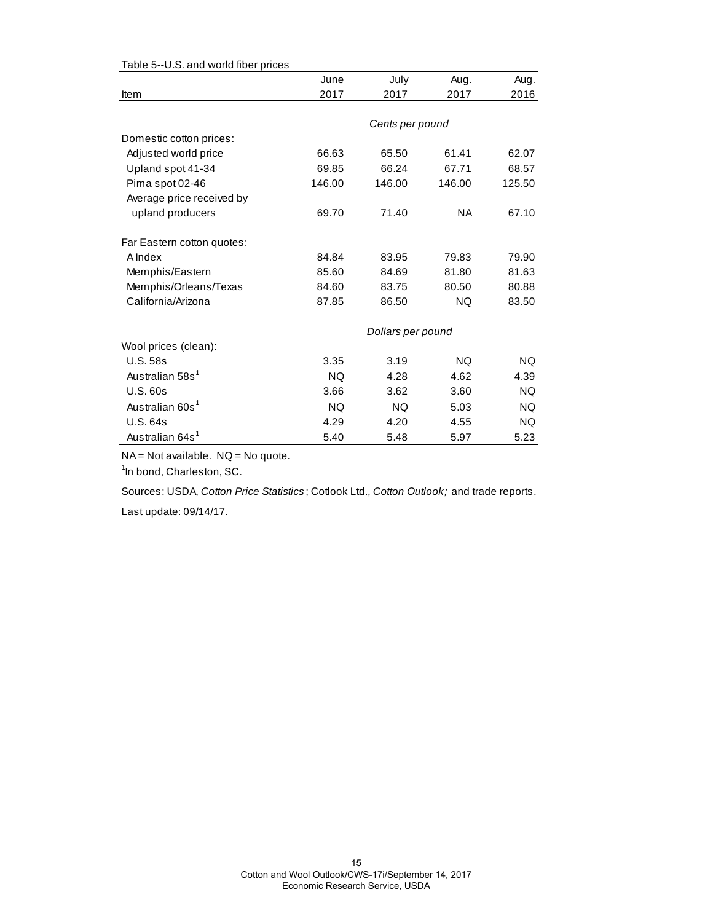| rable 3--0.3. and wond liber prices |           |                   |           |        |
|-------------------------------------|-----------|-------------------|-----------|--------|
|                                     | June      | July              | Aug.      | Aug.   |
| Item                                | 2017      | 2017              | 2017      | 2016   |
|                                     |           |                   |           |        |
|                                     |           | Cents per pound   |           |        |
| Domestic cotton prices:             |           |                   |           |        |
| Adjusted world price                | 66.63     | 65.50             | 61.41     | 62.07  |
| Upland spot 41-34                   | 69.85     | 66.24             | 67.71     | 68.57  |
| Pima spot 02-46                     | 146.00    | 146.00            | 146.00    | 125.50 |
| Average price received by           |           |                   |           |        |
| upland producers                    | 69.70     | 71.40             | NA.       | 67.10  |
|                                     |           |                   |           |        |
| Far Eastern cotton quotes:          |           |                   |           |        |
| A Index                             | 84.84     | 83.95             | 79.83     | 79.90  |
| Memphis/Eastern                     | 85.60     | 84.69             | 81.80     | 81.63  |
| Memphis/Orleans/Texas               | 84.60     | 83.75             | 80.50     | 80.88  |
| California/Arizona                  | 87.85     | 86.50             | <b>NQ</b> | 83.50  |
|                                     |           | Dollars per pound |           |        |
| Wool prices (clean):                |           |                   |           |        |
| <b>U.S. 58s</b>                     | 3.35      | 3.19              | <b>NQ</b> | NQ.    |
| Australian 58s <sup>1</sup>         | <b>NQ</b> | 4.28              | 4.62      | 4.39   |
| U.S.60s                             | 3.66      | 3.62              | 3.60      | NQ.    |
| Australian 60s <sup>1</sup>         | <b>NQ</b> | <b>NQ</b>         | 5.03      | NQ.    |
| <b>U.S. 64s</b>                     | 4.29      | 4.20              | 4.55      | NQ.    |
| Australian 64s <sup>1</sup>         | 5.40      | 5.48              | 5.97      | 5.23   |

Table 5--U.S. and world fiber prices

NA = Not available. NQ = No quote.

<sup>1</sup>In bond, Charleston, SC.

Sources: USDA, *Cotton Price Statistics* ; Cotlook Ltd., *Cotton Outlook;* and trade reports.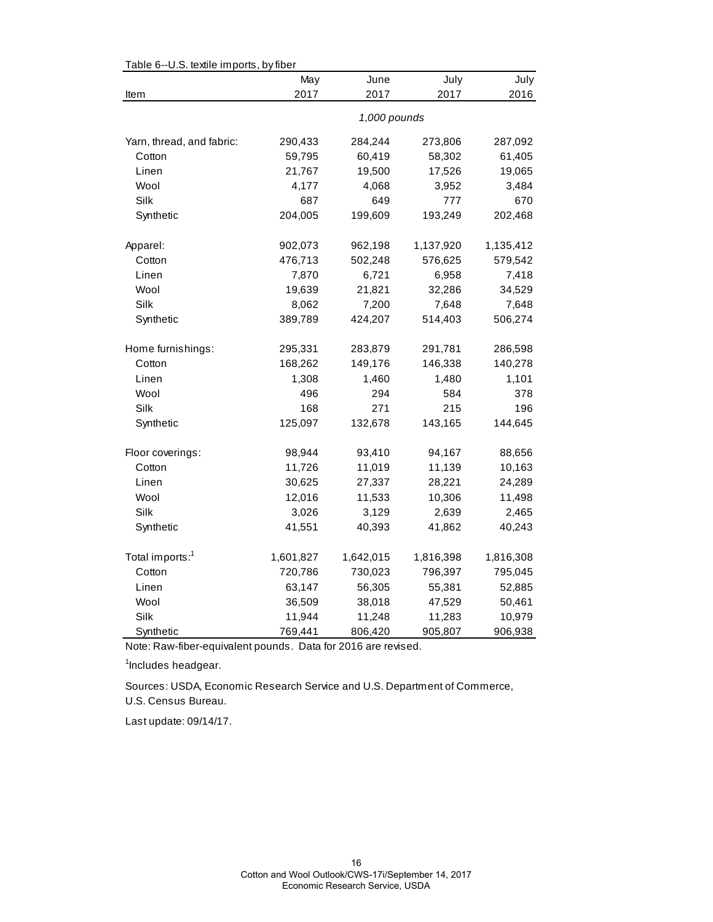| Table 6--U.S. textile imports, by fiber | May       | June         | July      | July      |
|-----------------------------------------|-----------|--------------|-----------|-----------|
| Item                                    | 2017      | 2017         | 2017      | 2016      |
|                                         |           |              |           |           |
|                                         |           | 1,000 pounds |           |           |
| Yarn, thread, and fabric:               | 290,433   | 284,244      | 273,806   | 287,092   |
| Cotton                                  | 59,795    | 60,419       | 58,302    | 61,405    |
| Linen                                   | 21,767    | 19,500       | 17,526    | 19,065    |
| Wool                                    | 4,177     | 4,068        | 3,952     | 3,484     |
| Silk                                    | 687       | 649          | 777       | 670       |
| Synthetic                               | 204,005   | 199,609      | 193,249   | 202,468   |
| Apparel:                                | 902,073   | 962,198      | 1,137,920 | 1,135,412 |
| Cotton                                  | 476,713   | 502,248      | 576,625   | 579,542   |
| Linen                                   | 7,870     | 6,721        | 6,958     | 7,418     |
| Wool                                    | 19,639    | 21,821       | 32,286    | 34,529    |
| Silk                                    | 8,062     | 7,200        | 7,648     | 7,648     |
| Synthetic                               | 389,789   | 424,207      | 514,403   | 506,274   |
|                                         |           |              |           |           |
| Home furnishings:                       | 295,331   | 283,879      | 291,781   | 286,598   |
| Cotton                                  | 168,262   | 149,176      | 146,338   | 140,278   |
| Linen                                   | 1,308     | 1,460        | 1,480     | 1,101     |
| Wool                                    | 496       | 294          | 584       | 378       |
| Silk                                    | 168       | 271          | 215       | 196       |
| Synthetic                               | 125,097   | 132,678      | 143,165   | 144,645   |
| Floor coverings:                        | 98,944    | 93,410       | 94,167    | 88,656    |
| Cotton                                  | 11,726    | 11,019       | 11,139    | 10,163    |
| Linen                                   | 30,625    | 27,337       | 28,221    | 24,289    |
| Wool                                    | 12,016    | 11,533       | 10,306    | 11,498    |
| Silk                                    | 3,026     | 3,129        | 2,639     | 2,465     |
| Synthetic                               | 41,551    | 40,393       | 41,862    | 40,243    |
|                                         |           |              |           |           |
| Total imports: <sup>1</sup>             | 1,601,827 | 1,642,015    | 1,816,398 | 1,816,308 |
| Cotton                                  | 720,786   | 730,023      | 796,397   | 795,045   |
| Linen                                   | 63,147    | 56,305       | 55,381    | 52,885    |
| Wool                                    | 36,509    | 38,018       | 47,529    | 50,461    |
| Silk                                    | 11,944    | 11,248       | 11,283    | 10,979    |
| Synthetic                               | 769,441   | 806,420      | 905,807   | 906,938   |

 $Table 6-11$  S, textile imports, by fib

Note: Raw-fiber-equivalent pounds. Data for 2016 are revised.

<sup>1</sup>Includes headgear.

U.S. Census Bureau. Sources: USDA, Economic Research Service and U.S. Department of Commerce,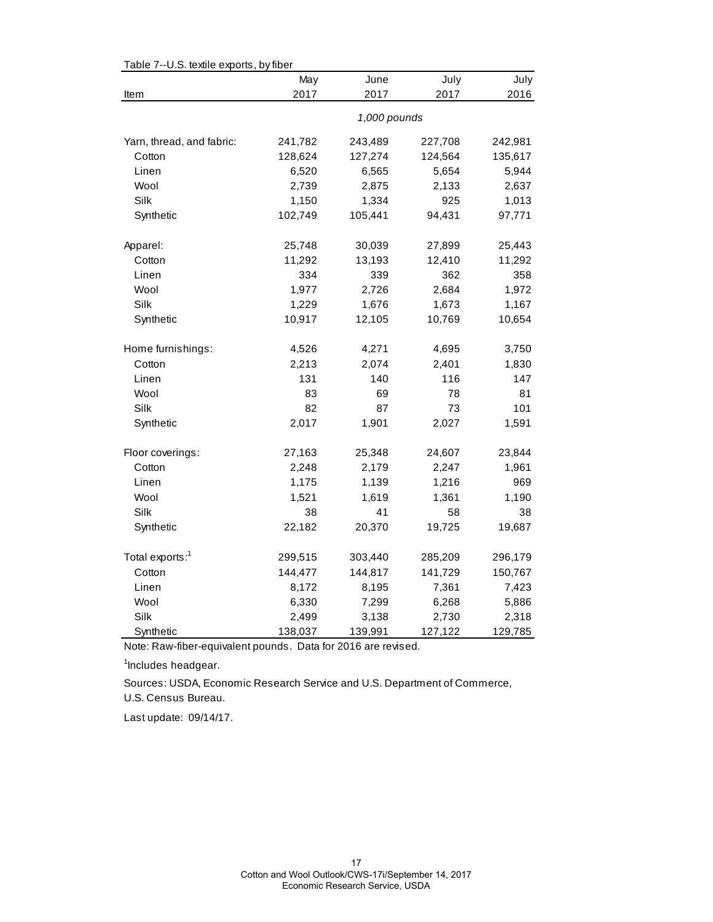| 2017<br>2017<br>2017<br>2016<br>Item<br>1,000 pounds<br>Yarn, thread, and fabric:<br>241,782<br>243,489<br>227,708<br>242,981<br>128,624<br>127,274<br>124,564<br>135,617<br>Cotton<br>Linen<br>6,520<br>6,565<br>5,654<br>5,944<br>Wool<br>2,739<br>2,875<br>2,133<br>2,637<br>Silk<br>925<br>1,150<br>1,334<br>1,013<br>102,749<br>Synthetic<br>105,441<br>94,431<br>97,771<br>25,443<br>Apparel:<br>25,748<br>30,039<br>27,899<br>11,292<br>13,193<br>12,410<br>11,292<br>Cotton<br>339<br>334<br>362<br>358<br>Linen<br>1,977<br>1,972<br>Wool<br>2,726<br>2,684<br>Silk<br>1,229<br>1,676<br>1,673<br>1,167<br>10,917<br>Synthetic<br>12,105<br>10,769<br>10,654<br>4,526<br>4,271<br>3,750<br>Home furnishings:<br>4,695<br>2,213<br>Cotton<br>2,074<br>2,401<br>1,830<br>131<br>116<br>147<br>Linen<br>140<br>Wool<br>83<br>69<br>78<br>81<br>Silk<br>82<br>87<br>73<br>101<br>1,901<br>1,591<br>Synthetic<br>2,017<br>2,027<br>Floor coverings:<br>27,163<br>25,348<br>24,607<br>23,844<br>2,248<br>2,179<br>2,247<br>1,961<br>Cotton<br>1,175<br>1,216<br>969<br>Linen<br>1,139<br>Wool<br>1,521<br>1,190<br>1,619<br>1,361<br>Silk<br>38<br>41<br>58<br>38<br>Synthetic<br>22,182<br>20,370<br>19,725<br>19,687<br>Total exports: <sup>1</sup><br>299,515<br>303,440<br>285,209<br>296,179<br>Cotton<br>144,477<br>144,817<br>141,729<br>150,767<br>7,361<br>Linen<br>8,172<br>8,195<br>7,423<br>Wool<br>6,330<br>6,268<br>7,299<br>5,886<br>Silk<br>2,499<br>3,138<br>2,730<br>2,318 | Table 7--U.S. textile exports, by fiber | May     | June    | July    | July    |
|-------------------------------------------------------------------------------------------------------------------------------------------------------------------------------------------------------------------------------------------------------------------------------------------------------------------------------------------------------------------------------------------------------------------------------------------------------------------------------------------------------------------------------------------------------------------------------------------------------------------------------------------------------------------------------------------------------------------------------------------------------------------------------------------------------------------------------------------------------------------------------------------------------------------------------------------------------------------------------------------------------------------------------------------------------------------------------------------------------------------------------------------------------------------------------------------------------------------------------------------------------------------------------------------------------------------------------------------------------------------------------------------------------------------------------------------------------------------------------------------------|-----------------------------------------|---------|---------|---------|---------|
|                                                                                                                                                                                                                                                                                                                                                                                                                                                                                                                                                                                                                                                                                                                                                                                                                                                                                                                                                                                                                                                                                                                                                                                                                                                                                                                                                                                                                                                                                                 |                                         |         |         |         |         |
|                                                                                                                                                                                                                                                                                                                                                                                                                                                                                                                                                                                                                                                                                                                                                                                                                                                                                                                                                                                                                                                                                                                                                                                                                                                                                                                                                                                                                                                                                                 |                                         |         |         |         |         |
|                                                                                                                                                                                                                                                                                                                                                                                                                                                                                                                                                                                                                                                                                                                                                                                                                                                                                                                                                                                                                                                                                                                                                                                                                                                                                                                                                                                                                                                                                                 |                                         |         |         |         |         |
|                                                                                                                                                                                                                                                                                                                                                                                                                                                                                                                                                                                                                                                                                                                                                                                                                                                                                                                                                                                                                                                                                                                                                                                                                                                                                                                                                                                                                                                                                                 |                                         |         |         |         |         |
|                                                                                                                                                                                                                                                                                                                                                                                                                                                                                                                                                                                                                                                                                                                                                                                                                                                                                                                                                                                                                                                                                                                                                                                                                                                                                                                                                                                                                                                                                                 |                                         |         |         |         |         |
|                                                                                                                                                                                                                                                                                                                                                                                                                                                                                                                                                                                                                                                                                                                                                                                                                                                                                                                                                                                                                                                                                                                                                                                                                                                                                                                                                                                                                                                                                                 |                                         |         |         |         |         |
|                                                                                                                                                                                                                                                                                                                                                                                                                                                                                                                                                                                                                                                                                                                                                                                                                                                                                                                                                                                                                                                                                                                                                                                                                                                                                                                                                                                                                                                                                                 |                                         |         |         |         |         |
|                                                                                                                                                                                                                                                                                                                                                                                                                                                                                                                                                                                                                                                                                                                                                                                                                                                                                                                                                                                                                                                                                                                                                                                                                                                                                                                                                                                                                                                                                                 |                                         |         |         |         |         |
|                                                                                                                                                                                                                                                                                                                                                                                                                                                                                                                                                                                                                                                                                                                                                                                                                                                                                                                                                                                                                                                                                                                                                                                                                                                                                                                                                                                                                                                                                                 |                                         |         |         |         |         |
|                                                                                                                                                                                                                                                                                                                                                                                                                                                                                                                                                                                                                                                                                                                                                                                                                                                                                                                                                                                                                                                                                                                                                                                                                                                                                                                                                                                                                                                                                                 |                                         |         |         |         |         |
|                                                                                                                                                                                                                                                                                                                                                                                                                                                                                                                                                                                                                                                                                                                                                                                                                                                                                                                                                                                                                                                                                                                                                                                                                                                                                                                                                                                                                                                                                                 |                                         |         |         |         |         |
|                                                                                                                                                                                                                                                                                                                                                                                                                                                                                                                                                                                                                                                                                                                                                                                                                                                                                                                                                                                                                                                                                                                                                                                                                                                                                                                                                                                                                                                                                                 |                                         |         |         |         |         |
|                                                                                                                                                                                                                                                                                                                                                                                                                                                                                                                                                                                                                                                                                                                                                                                                                                                                                                                                                                                                                                                                                                                                                                                                                                                                                                                                                                                                                                                                                                 |                                         |         |         |         |         |
|                                                                                                                                                                                                                                                                                                                                                                                                                                                                                                                                                                                                                                                                                                                                                                                                                                                                                                                                                                                                                                                                                                                                                                                                                                                                                                                                                                                                                                                                                                 |                                         |         |         |         |         |
|                                                                                                                                                                                                                                                                                                                                                                                                                                                                                                                                                                                                                                                                                                                                                                                                                                                                                                                                                                                                                                                                                                                                                                                                                                                                                                                                                                                                                                                                                                 |                                         |         |         |         |         |
|                                                                                                                                                                                                                                                                                                                                                                                                                                                                                                                                                                                                                                                                                                                                                                                                                                                                                                                                                                                                                                                                                                                                                                                                                                                                                                                                                                                                                                                                                                 |                                         |         |         |         |         |
|                                                                                                                                                                                                                                                                                                                                                                                                                                                                                                                                                                                                                                                                                                                                                                                                                                                                                                                                                                                                                                                                                                                                                                                                                                                                                                                                                                                                                                                                                                 |                                         |         |         |         |         |
|                                                                                                                                                                                                                                                                                                                                                                                                                                                                                                                                                                                                                                                                                                                                                                                                                                                                                                                                                                                                                                                                                                                                                                                                                                                                                                                                                                                                                                                                                                 |                                         |         |         |         |         |
|                                                                                                                                                                                                                                                                                                                                                                                                                                                                                                                                                                                                                                                                                                                                                                                                                                                                                                                                                                                                                                                                                                                                                                                                                                                                                                                                                                                                                                                                                                 |                                         |         |         |         |         |
|                                                                                                                                                                                                                                                                                                                                                                                                                                                                                                                                                                                                                                                                                                                                                                                                                                                                                                                                                                                                                                                                                                                                                                                                                                                                                                                                                                                                                                                                                                 |                                         |         |         |         |         |
|                                                                                                                                                                                                                                                                                                                                                                                                                                                                                                                                                                                                                                                                                                                                                                                                                                                                                                                                                                                                                                                                                                                                                                                                                                                                                                                                                                                                                                                                                                 |                                         |         |         |         |         |
|                                                                                                                                                                                                                                                                                                                                                                                                                                                                                                                                                                                                                                                                                                                                                                                                                                                                                                                                                                                                                                                                                                                                                                                                                                                                                                                                                                                                                                                                                                 |                                         |         |         |         |         |
|                                                                                                                                                                                                                                                                                                                                                                                                                                                                                                                                                                                                                                                                                                                                                                                                                                                                                                                                                                                                                                                                                                                                                                                                                                                                                                                                                                                                                                                                                                 |                                         |         |         |         |         |
|                                                                                                                                                                                                                                                                                                                                                                                                                                                                                                                                                                                                                                                                                                                                                                                                                                                                                                                                                                                                                                                                                                                                                                                                                                                                                                                                                                                                                                                                                                 |                                         |         |         |         |         |
|                                                                                                                                                                                                                                                                                                                                                                                                                                                                                                                                                                                                                                                                                                                                                                                                                                                                                                                                                                                                                                                                                                                                                                                                                                                                                                                                                                                                                                                                                                 |                                         |         |         |         |         |
|                                                                                                                                                                                                                                                                                                                                                                                                                                                                                                                                                                                                                                                                                                                                                                                                                                                                                                                                                                                                                                                                                                                                                                                                                                                                                                                                                                                                                                                                                                 |                                         |         |         |         |         |
|                                                                                                                                                                                                                                                                                                                                                                                                                                                                                                                                                                                                                                                                                                                                                                                                                                                                                                                                                                                                                                                                                                                                                                                                                                                                                                                                                                                                                                                                                                 |                                         |         |         |         |         |
|                                                                                                                                                                                                                                                                                                                                                                                                                                                                                                                                                                                                                                                                                                                                                                                                                                                                                                                                                                                                                                                                                                                                                                                                                                                                                                                                                                                                                                                                                                 |                                         |         |         |         |         |
|                                                                                                                                                                                                                                                                                                                                                                                                                                                                                                                                                                                                                                                                                                                                                                                                                                                                                                                                                                                                                                                                                                                                                                                                                                                                                                                                                                                                                                                                                                 |                                         |         |         |         |         |
|                                                                                                                                                                                                                                                                                                                                                                                                                                                                                                                                                                                                                                                                                                                                                                                                                                                                                                                                                                                                                                                                                                                                                                                                                                                                                                                                                                                                                                                                                                 |                                         |         |         |         |         |
|                                                                                                                                                                                                                                                                                                                                                                                                                                                                                                                                                                                                                                                                                                                                                                                                                                                                                                                                                                                                                                                                                                                                                                                                                                                                                                                                                                                                                                                                                                 |                                         |         |         |         |         |
|                                                                                                                                                                                                                                                                                                                                                                                                                                                                                                                                                                                                                                                                                                                                                                                                                                                                                                                                                                                                                                                                                                                                                                                                                                                                                                                                                                                                                                                                                                 |                                         |         |         |         |         |
|                                                                                                                                                                                                                                                                                                                                                                                                                                                                                                                                                                                                                                                                                                                                                                                                                                                                                                                                                                                                                                                                                                                                                                                                                                                                                                                                                                                                                                                                                                 |                                         |         |         |         |         |
|                                                                                                                                                                                                                                                                                                                                                                                                                                                                                                                                                                                                                                                                                                                                                                                                                                                                                                                                                                                                                                                                                                                                                                                                                                                                                                                                                                                                                                                                                                 | Synthetic                               | 138,037 | 139,991 | 127,122 | 129,785 |

 $Table 7-ILC$  textile experts, by fib

Note: Raw-fiber-equivalent pounds. Data for 2016 are revised.

<sup>1</sup>Includes headgear.

U.S. Census Bureau. Sources: USDA, Economic Research Service and U.S. Department of Commerce,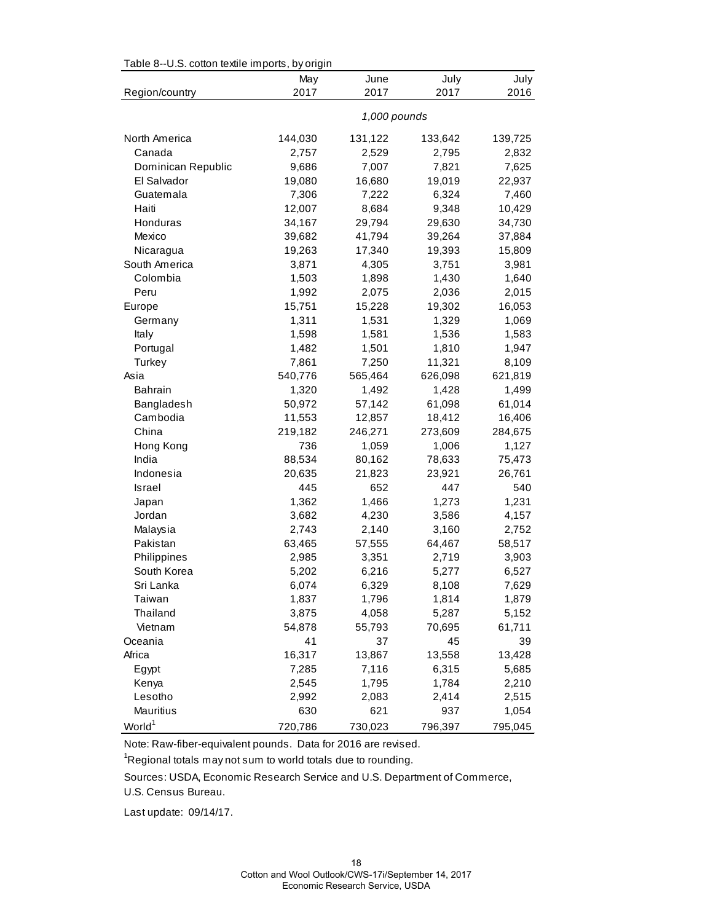| Table 8--U.S. cotton textile imports, by origin |              |         |         |         |  |
|-------------------------------------------------|--------------|---------|---------|---------|--|
|                                                 | May          | June    | July    | July    |  |
| Region/country                                  | 2017         | 2017    | 2017    | 2016    |  |
|                                                 | 1,000 pounds |         |         |         |  |
| North America                                   | 144,030      | 131,122 | 133,642 | 139,725 |  |
| Canada                                          | 2,757        | 2,529   | 2,795   | 2,832   |  |
| Dominican Republic                              | 9,686        | 7,007   | 7,821   | 7,625   |  |
| El Salvador                                     | 19,080       | 16,680  | 19,019  | 22,937  |  |
| Guatemala                                       | 7,306        | 7,222   | 6,324   | 7,460   |  |
| Haiti                                           | 12,007       | 8,684   | 9,348   | 10,429  |  |
| Honduras                                        | 34,167       | 29,794  | 29,630  | 34,730  |  |
| Mexico                                          | 39,682       | 41,794  | 39,264  | 37,884  |  |
| Nicaragua                                       | 19,263       | 17,340  | 19,393  | 15,809  |  |
| South America                                   | 3,871        | 4,305   | 3,751   | 3,981   |  |
| Colombia                                        | 1,503        | 1,898   | 1,430   | 1,640   |  |
| Peru                                            | 1,992        | 2,075   | 2,036   | 2,015   |  |
| Europe                                          | 15,751       | 15,228  | 19,302  | 16,053  |  |
| Germany                                         | 1,311        | 1,531   | 1,329   | 1,069   |  |
| Italy                                           | 1,598        | 1,581   | 1,536   | 1,583   |  |
| Portugal                                        | 1,482        | 1,501   | 1,810   | 1,947   |  |
| Turkey                                          | 7,861        | 7,250   | 11,321  | 8,109   |  |
| Asia                                            | 540,776      | 565,464 | 626,098 | 621,819 |  |
| <b>Bahrain</b>                                  | 1,320        | 1,492   | 1,428   | 1,499   |  |
| Bangladesh                                      | 50,972       | 57,142  | 61,098  | 61,014  |  |
| Cambodia                                        | 11,553       | 12,857  | 18,412  | 16,406  |  |
| China                                           | 219,182      | 246,271 | 273,609 | 284,675 |  |
| Hong Kong                                       | 736          | 1,059   | 1,006   | 1,127   |  |
| India                                           | 88,534       | 80,162  | 78,633  | 75,473  |  |
| Indonesia                                       | 20,635       | 21,823  | 23,921  | 26,761  |  |
| Israel                                          | 445          | 652     | 447     | 540     |  |
| Japan                                           | 1,362        | 1,466   | 1,273   | 1,231   |  |
| Jordan                                          | 3,682        | 4,230   | 3,586   | 4,157   |  |
| Malaysia                                        | 2,743        | 2,140   | 3,160   | 2,752   |  |
| Pakistan                                        | 63,465       | 57,555  | 64,467  | 58,517  |  |
| Philippines                                     | 2,985        | 3,351   | 2,719   | 3,903   |  |
| South Korea                                     | 5,202        | 6,216   | 5,277   | 6,527   |  |
| Sri Lanka                                       | 6,074        | 6,329   | 8,108   | 7,629   |  |
| Taiwan                                          | 1,837        | 1,796   | 1,814   | 1,879   |  |
| Thailand                                        | 3,875        | 4,058   | 5,287   | 5,152   |  |
| Vietnam                                         | 54,878       | 55,793  | 70,695  | 61,711  |  |
| Oceania                                         | 41           | 37      | 45      | 39      |  |
| Africa                                          | 16,317       | 13,867  | 13,558  | 13,428  |  |
| Egypt                                           | 7,285        | 7,116   | 6,315   | 5,685   |  |
| Kenya                                           | 2,545        | 1,795   | 1,784   | 2,210   |  |
| Lesotho                                         | 2,992        | 2,083   | 2,414   | 2,515   |  |
| Mauritius                                       | 630          | 621     | 937     | 1,054   |  |
| World <sup>1</sup>                              | 720,786      | 730,023 | 796,397 | 795,045 |  |

Table 8--U.S. cotton textile imports, by origin

Note: Raw-fiber-equivalent pounds. Data for 2016 are revised.

<sup>1</sup>Regional totals may not sum to world totals due to rounding.

Sources: USDA, Economic Research Service and U.S. Department of Commerce,

U.S. Census Bureau.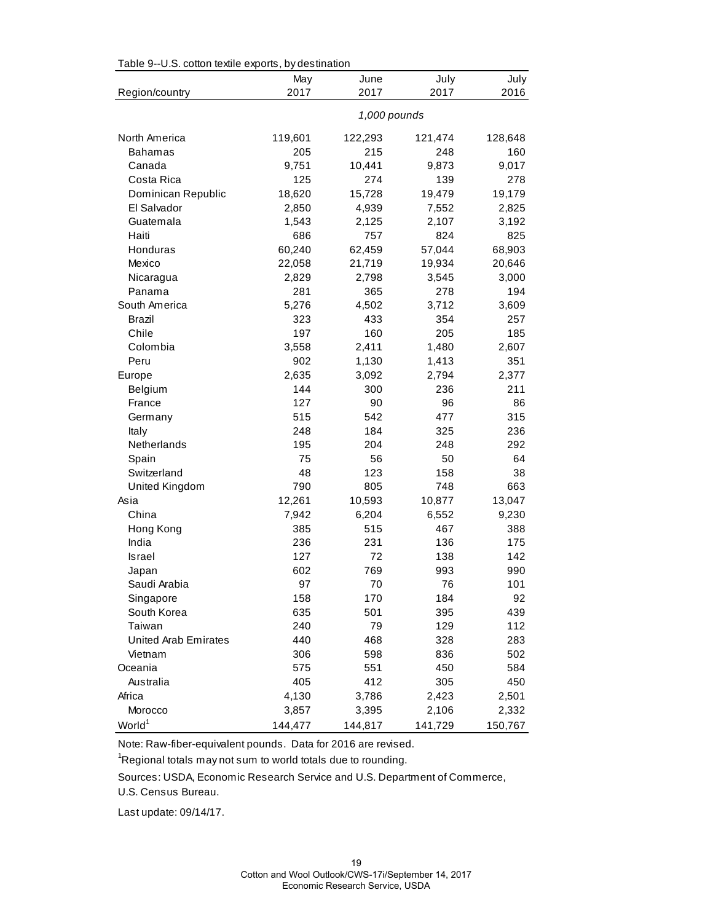|                      | May          | June    | July    | July    |  |
|----------------------|--------------|---------|---------|---------|--|
| Region/country       | 2017         | 2017    | 2017    | 2016    |  |
|                      | 1,000 pounds |         |         |         |  |
| North America        | 119,601      | 122,293 | 121,474 | 128,648 |  |
| <b>Bahamas</b>       | 205          | 215     | 248     | 160     |  |
| Canada               | 9,751        | 10,441  | 9,873   | 9,017   |  |
| Costa Rica           | 125          | 274     | 139     | 278     |  |
| Dominican Republic   | 18,620       | 15,728  | 19,479  | 19,179  |  |
| El Salvador          | 2,850        | 4,939   | 7,552   | 2,825   |  |
| Guatemala            | 1,543        | 2,125   | 2,107   | 3,192   |  |
| Haiti                | 686          | 757     | 824     | 825     |  |
| Honduras             | 60,240       | 62,459  | 57,044  | 68,903  |  |
| Mexico               | 22,058       | 21,719  | 19,934  | 20,646  |  |
| Nicaragua            | 2,829        | 2,798   | 3,545   | 3,000   |  |
| Panama               | 281          | 365     | 278     | 194     |  |
| South America        | 5,276        | 4,502   | 3,712   | 3,609   |  |
| Brazil               | 323          | 433     | 354     | 257     |  |
| Chile                | 197          | 160     | 205     | 185     |  |
| Colombia             | 3,558        | 2,411   | 1,480   | 2,607   |  |
| Peru                 | 902          | 1,130   | 1,413   | 351     |  |
| Europe               | 2,635        | 3,092   | 2,794   | 2,377   |  |
| Belgium              | 144          | 300     | 236     | 211     |  |
| France               | 127          | 90      | 96      | 86      |  |
| Germany              | 515          | 542     | 477     | 315     |  |
| Italy                | 248          | 184     | 325     | 236     |  |
| Netherlands          | 195          | 204     | 248     | 292     |  |
| Spain                | 75           | 56      | 50      | 64      |  |
| Switzerland          | 48           | 123     | 158     | 38      |  |
| United Kingdom       | 790          | 805     | 748     | 663     |  |
| Asia                 | 12,261       | 10,593  | 10,877  | 13,047  |  |
| China                | 7,942        | 6,204   | 6,552   | 9,230   |  |
| Hong Kong            | 385          | 515     | 467     | 388     |  |
| India                | 236          | 231     | 136     | 175     |  |
| <b>Israel</b>        | 127          | 72      | 138     | 142     |  |
| Japan                | 602          | 769     | 993     | 990     |  |
| Saudi Arabia         | 97           | 70      | 76      | 101     |  |
| Singapore            | 158          | 170     | 184     | 92      |  |
| South Korea          | 635          | 501     | 395     | 439     |  |
| Taiwan               | 240          | 79      | 129     | 112     |  |
| United Arab Emirates | 440          | 468     | 328     | 283     |  |
| Vietnam              | 306          | 598     | 836     | 502     |  |
| Oceania              | 575          | 551     | 450     | 584     |  |
| Australia            | 405          | 412     | 305     | 450     |  |
| Africa               | 4,130        | 3,786   | 2,423   | 2,501   |  |
| Morocco              | 3,857        | 3,395   | 2,106   | 2,332   |  |
| World <sup>1</sup>   | 144,477      | 144,817 | 141,729 | 150,767 |  |

Table 9--U.S. cotton textile exports, by destination

Note: Raw-fiber-equivalent pounds. Data for 2016 are revised.

 $\mathrm{{}^1}$ Regional totals may not sum to world totals due to rounding.

Sources: USDA, Economic Research Service and U.S. Department of Commerce,

U.S. Census Bureau.